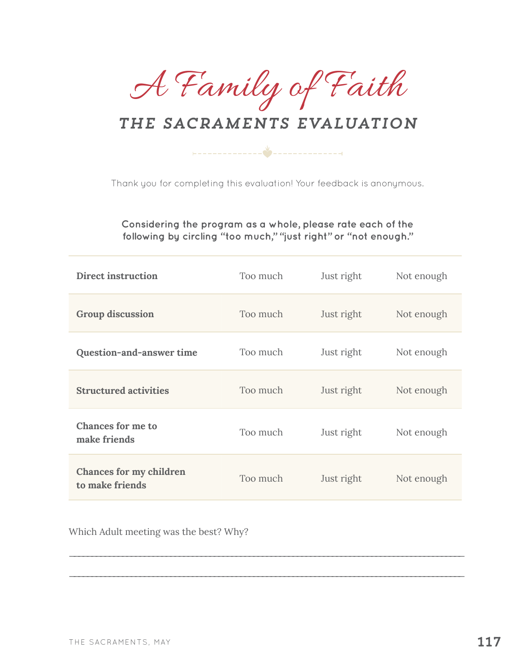A Family of Faith

## *the sacraments Evaluation*

Thank you for completing this evaluation! Your feedback is anonymous.

**Considering the program as a whole, please rate each of the following by circling "too much," "just right" or "not enough."** 

| <b>Direct instruction</b>                  | Too much | Just right | Not enough |
|--------------------------------------------|----------|------------|------------|
| <b>Group discussion</b>                    | Too much | Just right | Not enough |
| Question-and-answer time                   | Too much | Just right | Not enough |
| <b>Structured activities</b>               | Too much | Just right | Not enough |
| <b>Chances for me to</b><br>make friends   | Too much | Just right | Not enough |
| Chances for my children<br>to make friends | Too much | Just right | Not enough |

\_\_\_\_\_\_\_\_\_\_\_\_\_\_\_\_\_\_\_\_\_\_\_\_\_\_\_\_\_\_\_\_\_\_\_\_\_\_\_\_\_\_\_\_\_\_\_\_\_\_\_\_\_\_\_\_\_\_\_\_\_\_\_\_\_\_\_\_\_\_\_\_\_\_\_\_\_\_\_\_\_\_\_\_\_\_\_\_\_\_

\_\_\_\_\_\_\_\_\_\_\_\_\_\_\_\_\_\_\_\_\_\_\_\_\_\_\_\_\_\_\_\_\_\_\_\_\_\_\_\_\_\_\_\_\_\_\_\_\_\_\_\_\_\_\_\_\_\_\_\_\_\_\_\_\_\_\_\_\_\_\_\_\_\_\_\_\_\_\_\_\_\_\_\_\_\_\_\_\_\_

Which Adult meeting was the best? Why?